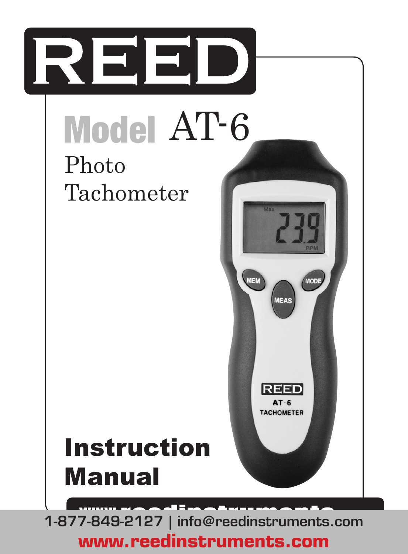

**www.reedinstruments.com**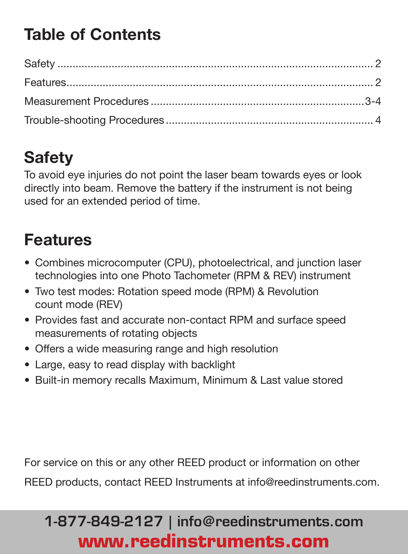# **Table of Contents**

# **Safety**

To avoid eye injuries do not point the laser beam towards eyes or look directly into beam. Remove the battery if the instrument is not being used for an extended period of time.

### **Features**

- • Combines microcomputer (CPU), photoelectrical, and junction laser technologies into one Photo Tachometer (RPM & REV) instrument
- Two test modes: Rotation speed mode (RPM) & Revolution count mode (REV)
- Provides fast and accurate non-contact RPM and surface speed measurements of rotating objects
- Offers a wide measuring range and high resolution
- • Large, easy to read display with backlight
- Built-in memory recalls Maximum, Minimum & Last value stored

For service on this or any other REED product or information on other

REED products, contact REED Instruments at info@reedinstruments.com.

# 1-877-849-2127 | info@reedinstruments.com **www.reedinstruments.com**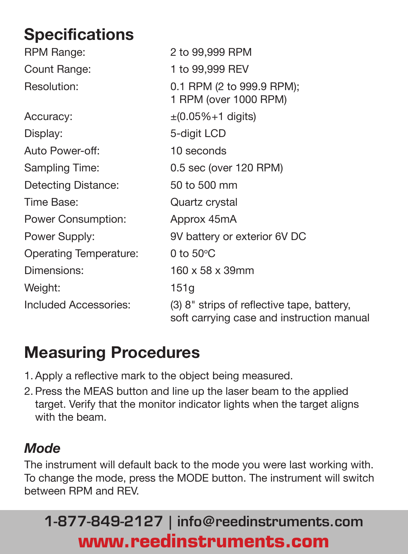# **Specifications**

| RPM Range:                    | 2 to 99,999 RPM                                                                         |
|-------------------------------|-----------------------------------------------------------------------------------------|
| Count Range:                  | 1 to 99,999 REV                                                                         |
| Resolution:                   | 0.1 RPM (2 to 999.9 RPM);<br>1 RPM (over 1000 RPM)                                      |
| Accuracy:                     | $\pm (0.05\% + 1 \text{ digits})$                                                       |
| Display:                      | 5-digit LCD                                                                             |
| Auto Power-off:               | 10 seconds                                                                              |
| Sampling Time:                | 0.5 sec (over 120 RPM)                                                                  |
| Detecting Distance:           | 50 to 500 mm                                                                            |
| Time Base:                    | Quartz crystal                                                                          |
| Power Consumption:            | Approx 45mA                                                                             |
| Power Supply:                 | 9V battery or exterior 6V DC                                                            |
| <b>Operating Temperature:</b> | 0 to $50^{\circ}$ C                                                                     |
| Dimensions:                   | 160 x 58 x 39mm                                                                         |
| Weight:                       | 151g                                                                                    |
| Included Accessories:         | (3) 8" strips of reflective tape, battery,<br>soft carrying case and instruction manual |

### **Measuring Procedures**

- 1. Apply a reflective mark to the object being measured.
- 2. Press the MEAS button and line up the laser beam to the applied target. Verify that the monitor indicator lights when the target aligns with the beam.

#### *Mode*

The instrument will default back to the mode you were last working with. To change the mode, press the MODE button. The instrument will switch between RPM and REV.

# 1-877-849-2127 | info@reedinstruments.com **www.reedinstruments.com**